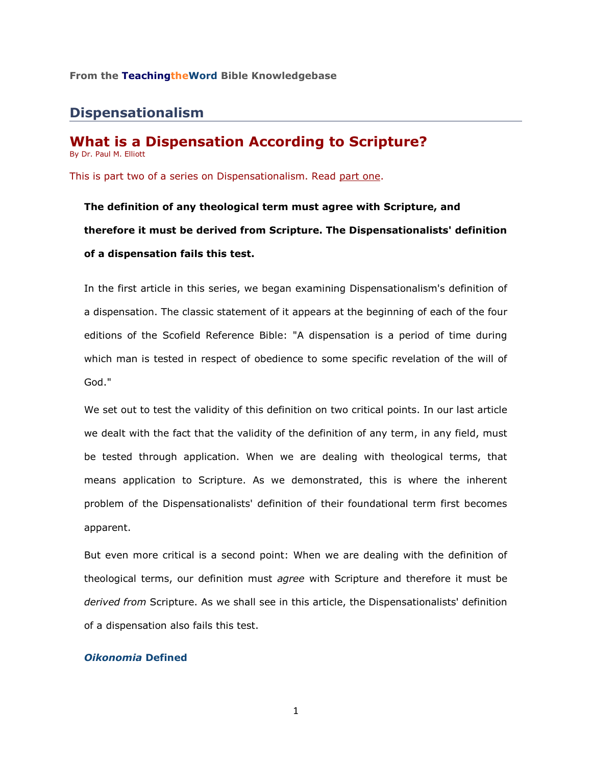### **From the TeachingtheWord Bible Knowledgebase**\_\_\_\_\_\_\_\_\_\_\_\_\_\_\_\_\_\_\_\_\_\_\_\_

# **Dispensationalism**

#### **What is a Dispensation According to Scripture?** By Dr. Paul M. Elliott

This is part two of a series on Dispensationalism. Read [part one.](http://73011.netministry.com/apps/articles/default.asp?articleid=66755&columnid=6211)

**The definition of any theological term must agree with Scripture, and therefore it must be derived from Scripture. The Dispensationalists' definition of a dispensation fails this test.** 

In the first article in this series, we began examining Dispensationalism's definition of a dispensation. The classic statement of it appears at the beginning of each of the four editions of the Scofield Reference Bible: "A dispensation is a period of time during which man is tested in respect of obedience to some specific revelation of the will of God."

We set out to test the validity of this definition on two critical points. In our last article we dealt with the fact that the validity of the definition of any term, in any field, must be tested through application. When we are dealing with theological terms, that means application to Scripture. As we demonstrated, this is where the inherent problem of the Dispensationalists' definition of their foundational term first becomes apparent.

But even more critical is a second point: When we are dealing with the definition of theological terms, our definition must *agree* with Scripture and therefore it must be *derived from* Scripture. As we shall see in this article, the Dispensationalists' definition of a dispensation also fails this test.

### *Oikonomia* **Defined**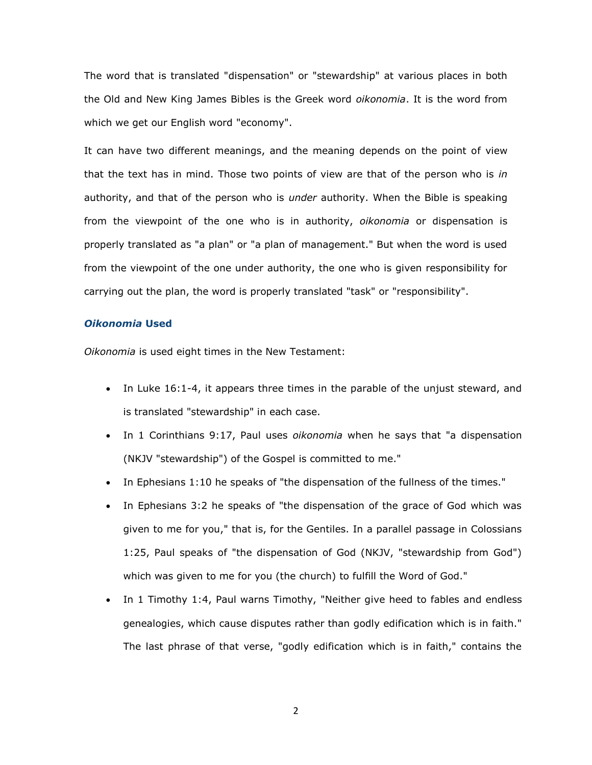The word that is translated "dispensation" or "stewardship" at various places in both the Old and New King James Bibles is the Greek word *oikonomia*. It is the word from which we get our English word "economy".

It can have two different meanings, and the meaning depends on the point of view that the text has in mind. Those two points of view are that of the person who is *in* authority, and that of the person who is *under* authority. When the Bible is speaking from the viewpoint of the one who is in authority, *oikonomia* or dispensation is properly translated as "a plan" or "a plan of management." But when the word is used from the viewpoint of the one under authority, the one who is given responsibility for carrying out the plan, the word is properly translated "task" or "responsibility".

#### *Oikonomia* **Used**

*Oikonomia* is used eight times in the New Testament:

- In Luke 16:1-4, it appears three times in the parable of the unjust steward, and is translated "stewardship" in each case.
- In 1 Corinthians 9:17, Paul uses *oikonomia* when he says that "a dispensation (NKJV "stewardship") of the Gospel is committed to me."
- In Ephesians 1:10 he speaks of "the dispensation of the fullness of the times."
- In Ephesians 3:2 he speaks of "the dispensation of the grace of God which was given to me for you," that is, for the Gentiles. In a parallel passage in Colossians 1:25, Paul speaks of "the dispensation of God (NKJV, "stewardship from God") which was given to me for you (the church) to fulfill the Word of God."
- In 1 Timothy 1:4, Paul warns Timothy, "Neither give heed to fables and endless genealogies, which cause disputes rather than godly edification which is in faith." The last phrase of that verse, "godly edification which is in faith," contains the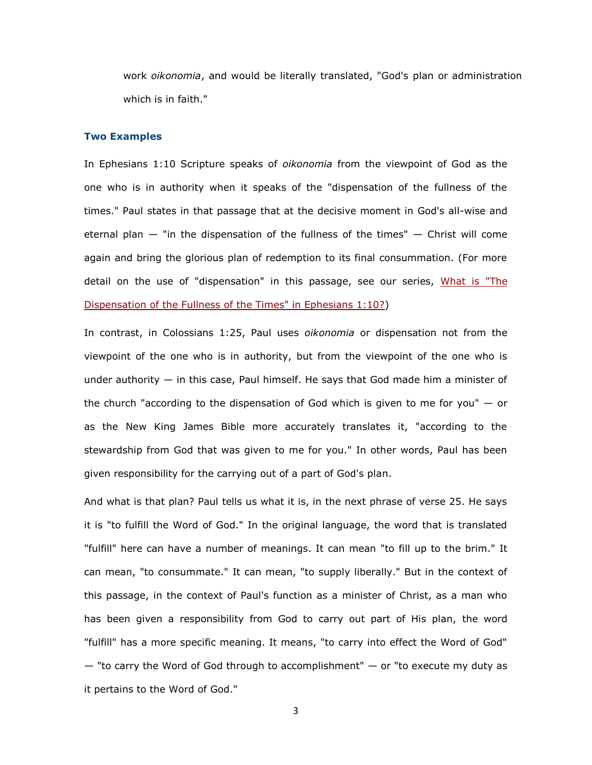work *oikonomia*, and would be literally translated, "God's plan or administration which is in faith."

#### **Two Examples**

In Ephesians 1:10 Scripture speaks of *oikonomia* from the viewpoint of God as the one who is in authority when it speaks of the "dispensation of the fullness of the times." Paul states in that passage that at the decisive moment in God's all-wise and eternal plan — "in the dispensation of the fullness of the times" — Christ will come again and bring the glorious plan of redemption to its final consummation. (For more detail on the use of "dispensation" in this passage, see our series, What is "The [Dispensation of the Fullness of the Times" in Ephesians 1:10?\)](http://73011.netministry.com/apps/articles/default.asp?articleid=70068&columnid=6211)

In contrast, in Colossians 1:25, Paul uses *oikonomia* or dispensation not from the viewpoint of the one who is in authority, but from the viewpoint of the one who is under authority  $-$  in this case, Paul himself. He says that God made him a minister of the church "according to the dispensation of God which is given to me for you"  $-$  or as the New King James Bible more accurately translates it, "according to the stewardship from God that was given to me for you." In other words, Paul has been given responsibility for the carrying out of a part of God's plan.

And what is that plan? Paul tells us what it is, in the next phrase of verse 25. He says it is "to fulfill the Word of God." In the original language, the word that is translated "fulfill" here can have a number of meanings. It can mean "to fill up to the brim." It can mean, "to consummate." It can mean, "to supply liberally." But in the context of this passage, in the context of Paul's function as a minister of Christ, as a man who has been given a responsibility from God to carry out part of His plan, the word "fulfill" has a more specific meaning. It means, "to carry into effect the Word of God"  $-$  "to carry the Word of God through to accomplishment"  $-$  or "to execute my duty as it pertains to the Word of God."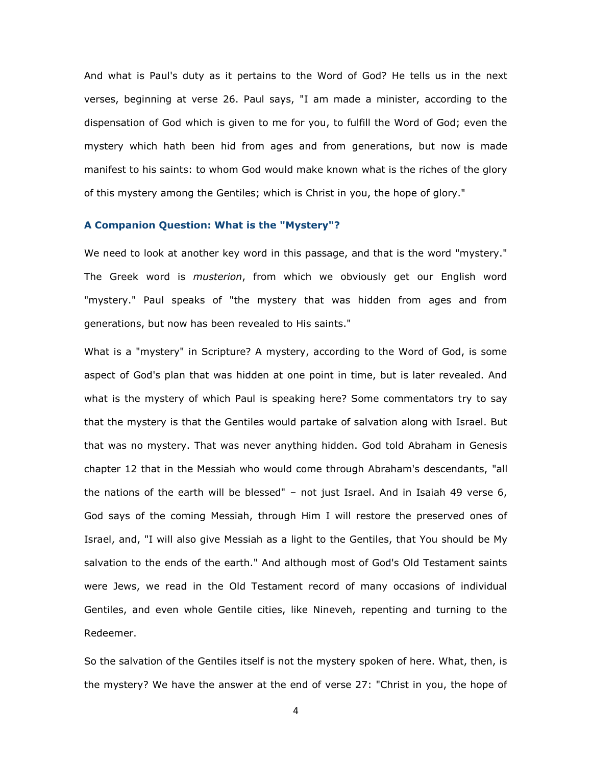And what is Paul's duty as it pertains to the Word of God? He tells us in the next verses, beginning at verse 26. Paul says, "I am made a minister, according to the dispensation of God which is given to me for you, to fulfill the Word of God; even the mystery which hath been hid from ages and from generations, but now is made manifest to his saints: to whom God would make known what is the riches of the glory of this mystery among the Gentiles; which is Christ in you, the hope of glory."

#### **A Companion Question: What is the "Mystery"?**

We need to look at another key word in this passage, and that is the word "mystery." The Greek word is *musterion*, from which we obviously get our English word "mystery." Paul speaks of "the mystery that was hidden from ages and from generations, but now has been revealed to His saints."

What is a "mystery" in Scripture? A mystery, according to the Word of God, is some aspect of God's plan that was hidden at one point in time, but is later revealed. And what is the mystery of which Paul is speaking here? Some commentators try to say that the mystery is that the Gentiles would partake of salvation along with Israel. But that was no mystery. That was never anything hidden. God told Abraham in Genesis chapter 12 that in the Messiah who would come through Abraham's descendants, "all the nations of the earth will be blessed" – not just Israel. And in Isaiah 49 verse 6, God says of the coming Messiah, through Him I will restore the preserved ones of Israel, and, "I will also give Messiah as a light to the Gentiles, that You should be My salvation to the ends of the earth." And although most of God's Old Testament saints were Jews, we read in the Old Testament record of many occasions of individual Gentiles, and even whole Gentile cities, like Nineveh, repenting and turning to the Redeemer.

So the salvation of the Gentiles itself is not the mystery spoken of here. What, then, is the mystery? We have the answer at the end of verse 27: "Christ in you, the hope of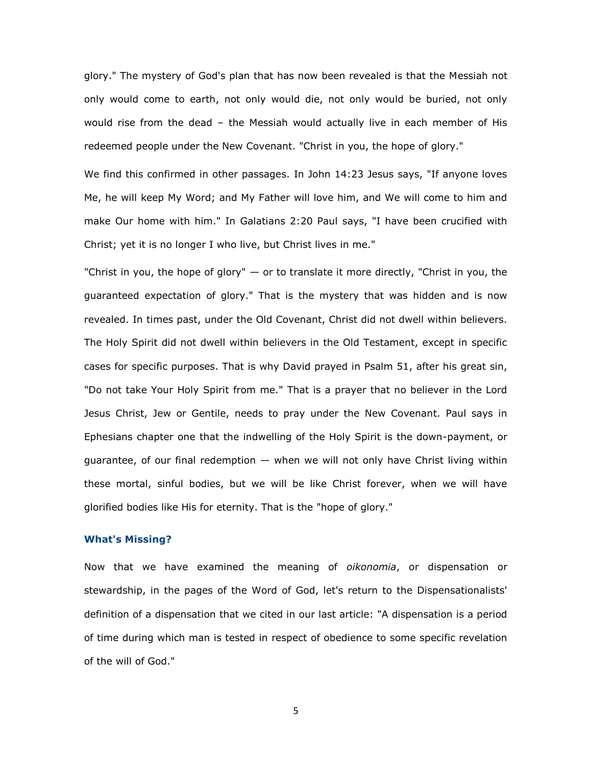glory." The mystery of God's plan that has now been revealed is that the Messiah not only would come to earth, not only would die, not only would be buried, not only would rise from the dead – the Messiah would actually live in each member of His redeemed people under the New Covenant. "Christ in you, the hope of glory."

We find this confirmed in other passages. In John 14:23 Jesus says, "If anyone loves Me, he will keep My Word; and My Father will love him, and We will come to him and make Our home with him." In Galatians 2:20 Paul says, "I have been crucified with Christ; yet it is no longer I who live, but Christ lives in me."

"Christ in you, the hope of glory"  $-$  or to translate it more directly, "Christ in you, the guaranteed expectation of glory." That is the mystery that was hidden and is now revealed. In times past, under the Old Covenant, Christ did not dwell within believers. The Holy Spirit did not dwell within believers in the Old Testament, except in specific cases for specific purposes. That is why David prayed in Psalm 51, after his great sin, "Do not take Your Holy Spirit from me." That is a prayer that no believer in the Lord Jesus Christ, Jew or Gentile, needs to pray under the New Covenant. Paul says in Ephesians chapter one that the indwelling of the Holy Spirit is the down-payment, or guarantee, of our final redemption — when we will not only have Christ living within these mortal, sinful bodies, but we will be like Christ forever, when we will have glorified bodies like His for eternity. That is the "hope of glory."

#### **What's Missing?**

Now that we have examined the meaning of *oikonomia*, or dispensation or stewardship, in the pages of the Word of God, let's return to the Dispensationalists' definition of a dispensation that we cited in our last article: "A dispensation is a period of time during which man is tested in respect of obedience to some specific revelation of the will of God."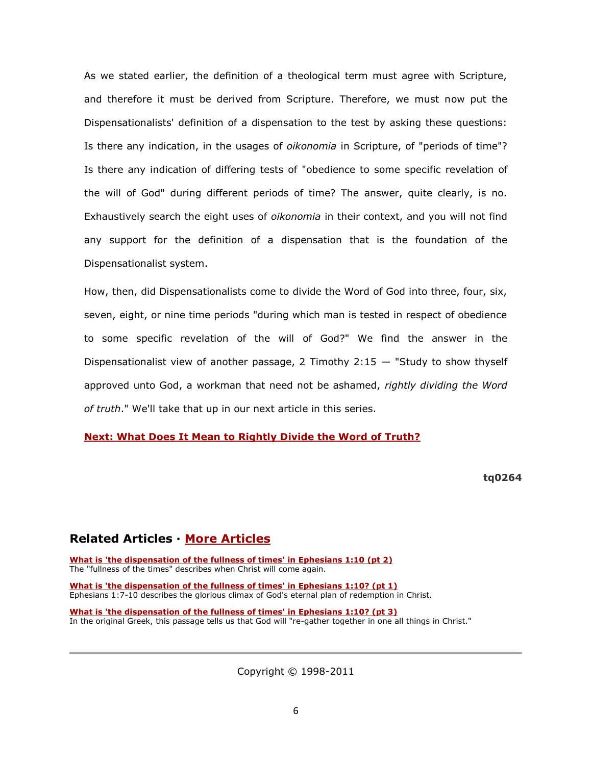As we stated earlier, the definition of a theological term must agree with Scripture, and therefore it must be derived from Scripture. Therefore, we must now put the Dispensationalists' definition of a dispensation to the test by asking these questions: Is there any indication, in the usages of *oikonomia* in Scripture, of "periods of time"? Is there any indication of differing tests of "obedience to some specific revelation of the will of God" during different periods of time? The answer, quite clearly, is no. Exhaustively search the eight uses of *oikonomia* in their context, and you will not find any support for the definition of a dispensation that is the foundation of the Dispensationalist system.

How, then, did Dispensationalists come to divide the Word of God into three, four, six, seven, eight, or nine time periods "during which man is tested in respect of obedience to some specific revelation of the will of God?" We find the answer in the Dispensationalist view of another passage, 2 Timothy  $2:15 -$  "Study to show thyself approved unto God, a workman that need not be ashamed, *rightly dividing the Word of truth*." We'll take that up in our next article in this series.

**[Next: What Does It Mean to Rightly Divide the Word of Truth?](http://73011.netministry.com/apps/articles/default.asp?articleid=66757&columnid=6211)**

**tq0264**

# **Related Articles · [More Articles](http://73011.netministry.com/apps/articles/default.asp?columnid=6211)**

**[What is 'the dispensation of the fullness of times' in Ephesians 1:10 \(pt 2\)](http://73011.netministry.com/apps/articles/default.asp?articleid=70069&columnid=6211)** The "fullness of the times" describes when Christ will come again.

**[What is 'the dispensation of the fullness of times' in Ephesians 1:10? \(pt 1\)](http://73011.netministry.com/apps/articles/default.asp?articleid=70068&columnid=6211)** Ephesians 1:7-10 describes the glorious climax of God's eternal plan of redemption in Christ.

**[What is 'the dispensation of the fullness of times' in Ephesians 1:10? \(pt 3\)](http://73011.netministry.com/apps/articles/default.asp?articleid=70070&columnid=6211)** In the original Greek, this passage tells us that God will "re-gather together in one all things in Christ."

Copyright © 1998-2011